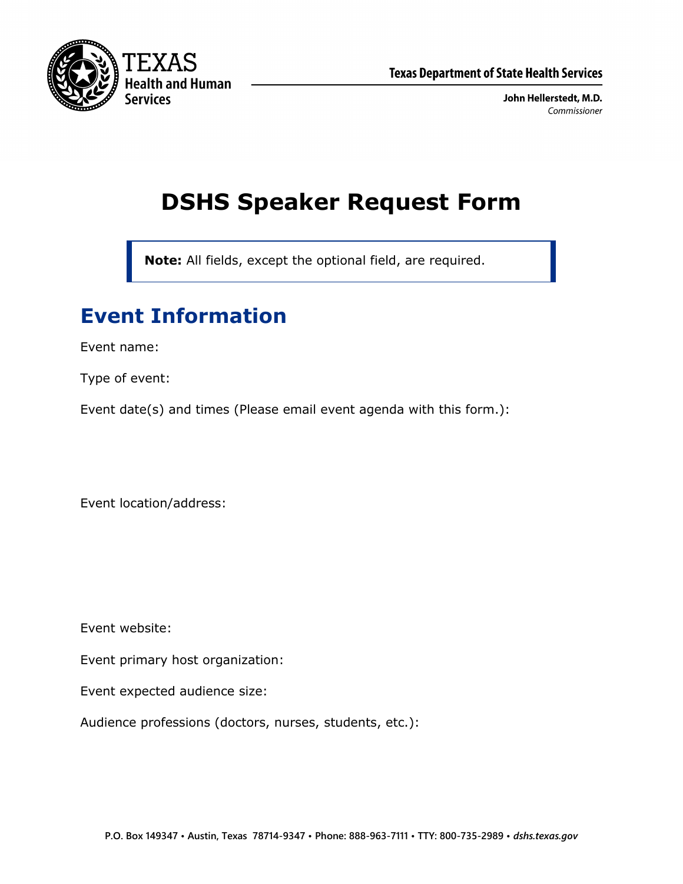

John Hellerstedt, M.D. Commissioner

# **DSHS Speaker Request Form**

**Note:** All fields, except the optional field, are required.

# **Event Information**

Event name:

Type of event:

Event date(s) and times (Please email event agenda with this form.):

Event location/address:

Event website:

Event primary host organization:

Event expected audience size:

Audience professions (doctors, nurses, students, etc.):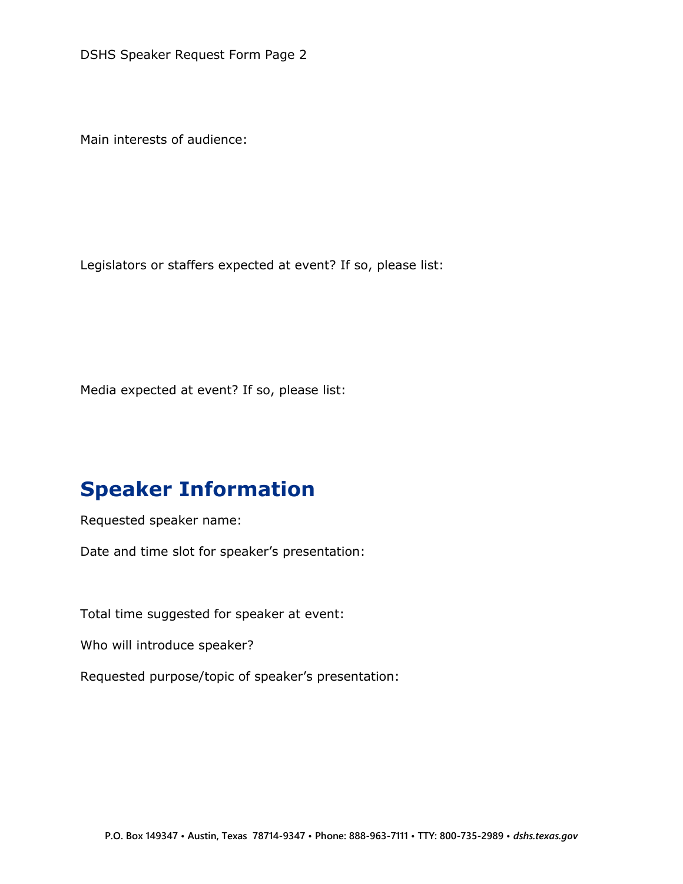DSHS Speaker Request Form Page 2

Main interests of audience:

Legislators or staffers expected at event? If so, please list:

Media expected at event? If so, please list:

### **Speaker Information**

Requested speaker name:

Date and time slot for speaker's presentation:

Total time suggested for speaker at event:

Who will introduce speaker?

Requested purpose/topic of speaker's presentation: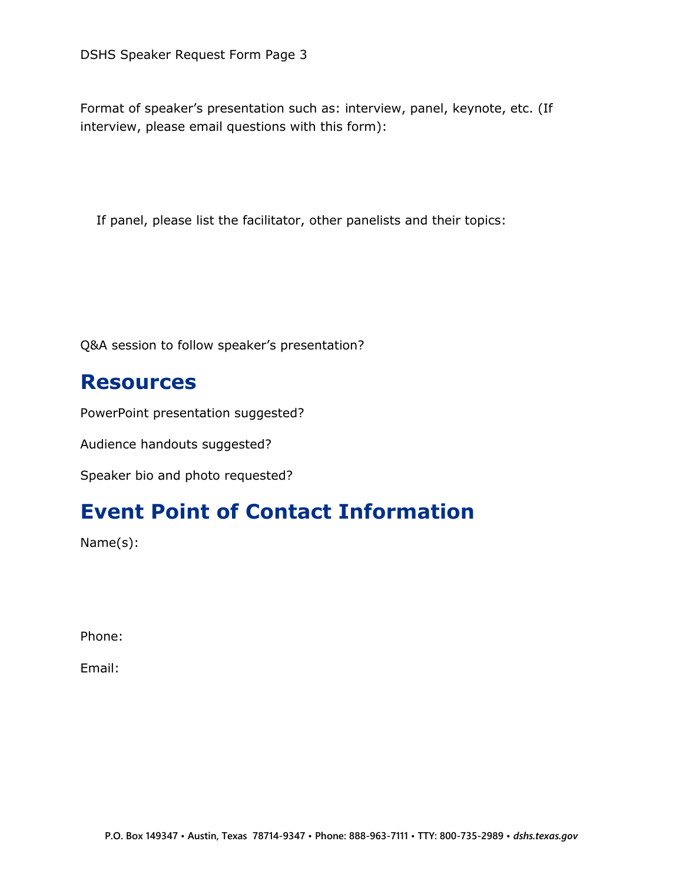Format of speaker's presentation such as: interview, panel, keynote, etc. (If interview, please email questions with this form):

If panel, please list the facilitator, other panelists and their topics:

Q&A session to follow speaker's presentation?

#### **Resources**

PowerPoint presentation suggested?

Audience handouts suggested?

Speaker bio and photo requested?

# **Event Point of Contact Information**

Name(s):

Phone:

Email: